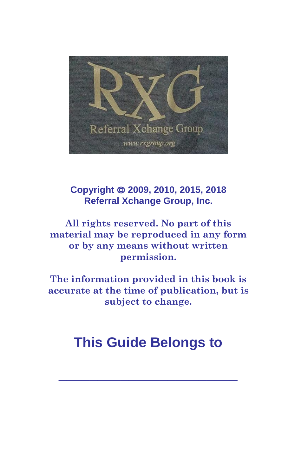

#### **Copyright © 2009, 2010, 2015, 2018 Referral Xchange Group, Inc.**

**All rights reserved. No part of this material may be reproduced in any form or by any means without written permission.**

**The information provided in this book is accurate at the time of publication, but is subject to change.**

# **This Guide Belongs to**

**\_\_\_\_\_\_\_\_\_\_\_\_\_\_\_\_\_\_\_\_\_\_\_**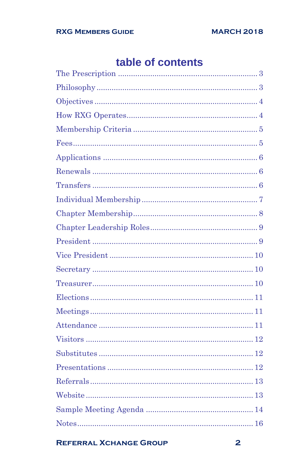## table of contents

#### **REFERRAL XCHANGE GROUP**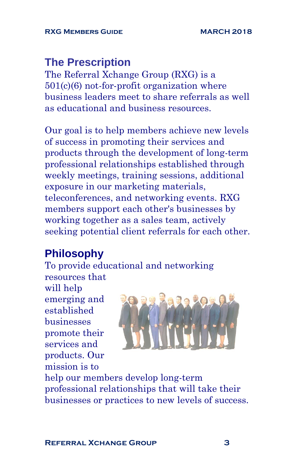## **The Prescription**

The Referral Xchange Group (RXG) is a 501(c)(6) not-for-profit organization where business leaders meet to share referrals as well as educational and business resources.

Our goal is to help members achieve new levels of success in promoting their services and products through the development of long-term professional relationships established through weekly meetings, training sessions, additional exposure in our marketing materials, teleconferences, and networking events. RXG members support each other's businesses by working together as a sales team, actively seeking potential client referrals for each other.

## **Philosophy**

To provide educational and networking resources that

will help emerging and established businesses promote their services and products. Our mission is to



help our members develop long-term professional relationships that will take their businesses or practices to new levels of success.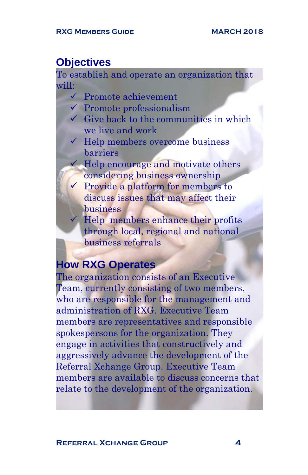#### **Objectives**

To establish and operate an organization that will:

- ✓ Promote achievement
- $\checkmark$  Promote professionalism
- $\checkmark$  Give back to the communities in which we live and work
- $\checkmark$  Help members overcome business barriers

 $\checkmark$  Help encourage and motivate others considering business ownership

 $\checkmark$  Provide a platform for members to discuss issues that may affect their business

Help members enhance their profits through local, regional and national business referrals

## **How RXG Operates**

The organization consists of an Executive Team, currently consisting of two members, who are responsible for the management and administration of RXG. Executive Team members are representatives and responsible spokespersons for the organization. They engage in activities that constructively and aggressively advance the development of the Referral Xchange Group. Executive Team members are available to discuss concerns that relate to the development of the organization.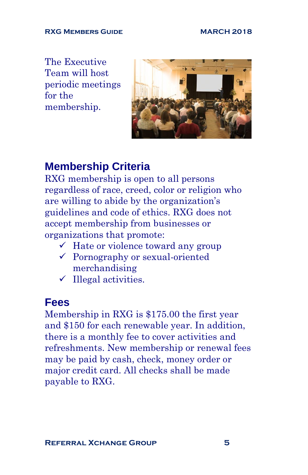#### RXG MEMBERS GUIDE<br>
MARCH 2018

The Executive Team will host periodic meetings for the membership.



## **Membership Criteria**

RXG membership is open to all persons regardless of race, creed, color or religion who are willing to abide by the organization's guidelines and code of ethics. RXG does not accept membership from businesses or organizations that promote:

- $\checkmark$  Hate or violence toward any group
- ✓ Pornography or sexual-oriented merchandising
- $\checkmark$  Illegal activities.

#### **Fees**

Membership in RXG is \$175.00 the first year and \$150 for each renewable year. In addition, there is a monthly fee to cover activities and refreshments. New membership or renewal fees may be paid by cash, check, money order or major credit card. All checks shall be made payable to RXG.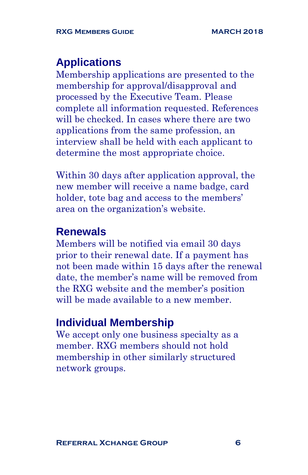## **Applications**

Membership applications are presented to the membership for approval/disapproval and processed by the Executive Team. Please complete all information requested. References will be checked. In cases where there are two applications from the same profession, an interview shall be held with each applicant to determine the most appropriate choice.

Within 30 days after application approval, the new member will receive a name badge, card holder, tote bag and access to the members' area on the organization's website.

#### **Renewals**

Members will be notified via email 30 days prior to their renewal date. If a payment has not been made within 15 days after the renewal date, the member's name will be removed from the RXG website and the member's position will be made available to a new member.

#### **Individual Membership**

We accept only one business specialty as a member. RXG members should not hold membership in other similarly structured network groups.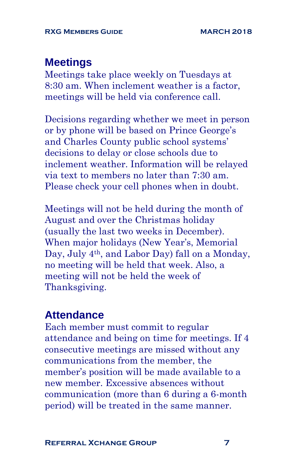## **Meetings**

Meetings take place weekly on Tuesdays at 8:30 am. When inclement weather is a factor, meetings will be held via conference call.

Decisions regarding whether we meet in person or by phone will be based on Prince George's and Charles County public school systems' decisions to delay or close schools due to inclement weather. Information will be relayed via text to members no later than 7:30 am. Please check your cell phones when in doubt.

Meetings will not be held during the month of August and over the Christmas holiday (usually the last two weeks in December). When major holidays (New Year's, Memorial Day, July 4th, and Labor Day) fall on a Monday, no meeting will be held that week. Also, a meeting will not be held the week of Thanksgiving.

#### **Attendance**

Each member must commit to regular attendance and being on time for meetings. If 4 consecutive meetings are missed without any communications from the member, the member's position will be made available to a new member. Excessive absences without communication (more than 6 during a 6-month period) will be treated in the same manner.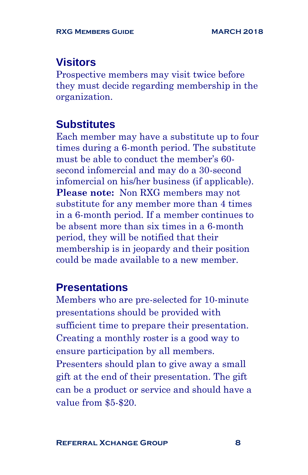## **Visitors**

Prospective members may visit twice before they must decide regarding membership in the organization.

### **Substitutes**

Each member may have a substitute up to four times during a 6-month period. The substitute must be able to conduct the member's 60 second infomercial and may do a 30-second infomercial on his/her business (if applicable). **Please note:** Non RXG members may not substitute for any member more than 4 times in a 6-month period. If a member continues to be absent more than six times in a 6-month period, they will be notified that their membership is in jeopardy and their position could be made available to a new member.

## **Presentations**

Members who are pre-selected for 10-minute presentations should be provided with sufficient time to prepare their presentation. Creating a monthly roster is a good way to ensure participation by all members. Presenters should plan to give away a small gift at the end of their presentation. The gift can be a product or service and should have a value from \$5-\$20.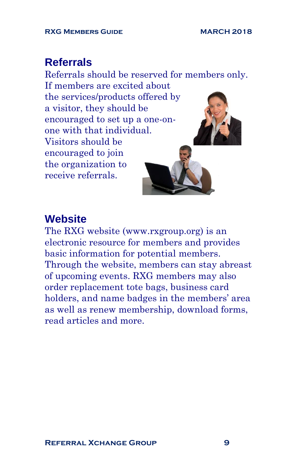## **Referrals**

Referrals should be reserved for members only. If members are excited about the services/products offered by a visitor, they should be encouraged to set up a one-onone with that individual. Visitors should be encouraged to join the organization to receive referrals.

## **Website**

The RXG website [\(www.rxgroup.org\)](http://www.rxgroup.org/) is an electronic resource for members and provides basic information for potential members. Through the website, members can stay abreast of upcoming events. RXG members may also order replacement tote bags, business card holders, and name badges in the members' area as well as renew membership, download forms, read articles and more.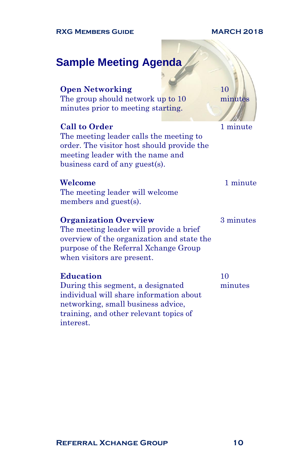#### **RXG MEMBERS GUIDE MARCH 2018**

#### **Sample Meeting Agenda**

#### **Open Networking**

The group should network up to 10 minutes prior to meeting starting.

#### **Call to Order**

The meeting leader calls the meeting to order. The visitor host should provide the meeting leader with the name and business card of any guest(s).

#### **Welcome**

The meeting leader will welcome members and guest(s).

#### **Organization Overview**

The meeting leader will provide a brief overview of the organization and state the purpose of the Referral Xchange Group when visitors are present.

#### **Education**

During this segment, a designated individual will share information about networking, small business advice, training, and other relevant topics of interest.

1 minute

10 minutes

#### 1 minute

3 minutes

10 minutes

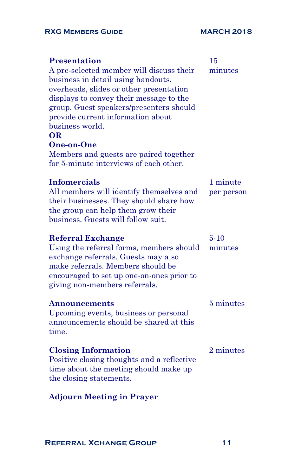#### RXG MEMBERS GUIDE<br>
MARCH 2018

| <b>Presentation</b><br>A pre-selected member will discuss their<br>business in detail using handouts,<br>overheads, slides or other presentation<br>displays to convey their message to the<br>group. Guest speakers/presenters should<br>provide current information about<br>business world.<br>OR.<br>One-on-One<br>Members and guests are paired together<br>for 5-minute interviews of each other. | 15<br>minutes          |
|---------------------------------------------------------------------------------------------------------------------------------------------------------------------------------------------------------------------------------------------------------------------------------------------------------------------------------------------------------------------------------------------------------|------------------------|
| <b>Infomercials</b><br>All members will identify themselves and<br>their businesses. They should share how<br>the group can help them grow their<br>business. Guests will follow suit.                                                                                                                                                                                                                  | 1 minute<br>per person |
| <b>Referral Exchange</b><br>Using the referral forms, members should<br>exchange referrals. Guests may also<br>make referrals. Members should be<br>encouraged to set up one-on-ones prior to<br>giving non-members referrals.                                                                                                                                                                          | $5 - 10$<br>minutes    |
| Announcements<br>Upcoming events, business or personal<br>announcements should be shared at this<br>time.                                                                                                                                                                                                                                                                                               | 5 minutes              |
| <b>Closing Information</b><br>Positive closing thoughts and a reflective<br>time about the meeting should make up<br>the closing statements.                                                                                                                                                                                                                                                            | 2 minutes              |
| <b>Adjourn Meeting in Prayer</b>                                                                                                                                                                                                                                                                                                                                                                        |                        |

**Referral Xchange Group 11**